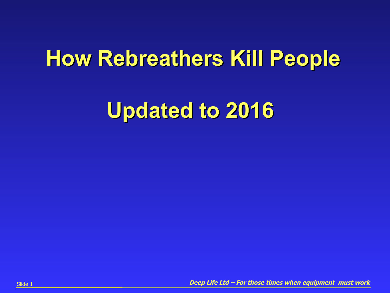### **How Rebreathers Kill People**

### **Updated to 2016**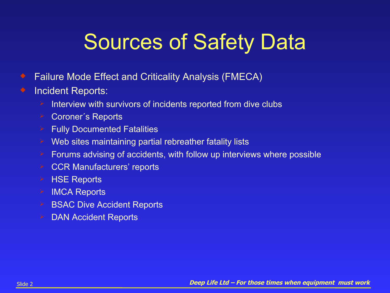# Sources of Safety Data

- ◆ Failure Mode Effect and Criticality Analysis (FMECA)
- **•** Incident Reports:
	- Interview with survivors of incidents reported from dive clubs
	- **► Coroner's Reports**
	- $\triangleright$  Fully Documented Fatalities
	- **► Web sites maintaining partial rebreather fatality lists**
	- $\geq$  Forums advising of accidents, with follow up interviews where possible
	- **► CCR Manufacturers' reports**
	- $\triangleright$  HSE Reports
	- $\triangleright$  IMCA Reports
	- $\triangleright$  BSAC Dive Accident Reports
	- $\triangleright$  DAN Accident Reports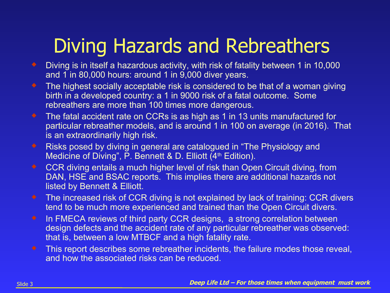### Diving Hazards and Rebreathers

- ◆ Diving is in itself a hazardous activity, with risk of fatality between 1 in 10,000 and 1 in 80,000 hours: around 1 in 9,000 diver years.
- The highest socially acceptable risk is considered to be that of a woman giving birth in a developed country: a 1 in 9000 risk of a fatal outcome. Some rebreathers are more than 100 times more dangerous.
- ◆ The fatal accident rate on CCRs is as high as 1 in 13 units manufactured for particular rebreather models, and is around 1 in 100 on average (in 2016). That is an extraordinarily high risk.
- Risks posed by diving in general are catalogued in "The Physiology and Medicine of Diving", P. Bennett & D. Elliott (4<sup>th</sup> Edition).
- ◆ CCR diving entails a much higher level of risk than Open Circuit diving, from DAN, HSE and BSAC reports. This implies there are additional hazards not listed by Bennett & Elliott.
- The increased risk of CCR diving is not explained by lack of training: CCR divers tend to be much more experienced and trained than the Open Circuit divers.
- $\bullet$  In FMECA reviews of third party CCR designs, a strong correlation between design defects and the accident rate of any particular rebreather was observed: that is, between a low MTBCF and a high fatality rate.
- This report describes some rebreather incidents, the failure modes those reveal, and how the associated risks can be reduced.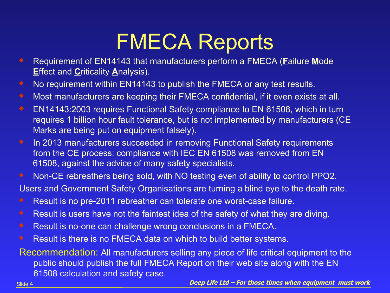## FMECA Reports

- Requirement of EN14143 that manufacturers perform a FMECA (**F**ailure **M**ode **E**ffect and **C**riticality **A**nalysis).
- No requirement within EN14143 to publish the FMECA or any test results.
- Most manufacturers are keeping their FMECA confidential, if it even exists at all.
- EN14143:2003 requires Functional Safety compliance to EN 61508, which in turn requires 1 billion hour fault tolerance, but is not implemented by manufacturers (CE Marks are being put on equipment falsely).
- **In 2013 manufacturers succeeded in removing Functional Safety requirements** from the CE process: compliance with IEC EN 61508 was removed from EN 61508, against the advice of many safety specialists.
- Non-CE rebreathers being sold, with NO testing even of ability to control PPO2.

Users and Government Safety Organisations are turning a blind eye to the death rate.

- Result is no pre-2011 rebreather can tolerate one worst-case failure.
- Result is users have not the faintest idea of the safety of what they are diving.
- Result is no-one can challenge wrong conclusions in a FMECA.
- Result is there is no FMECA data on which to build better systems.

Recommendation: All manufacturers selling any piece of life critical equipment to the public should publish the full FMECA Report on their web site along with the EN 61508 calculation and safety case.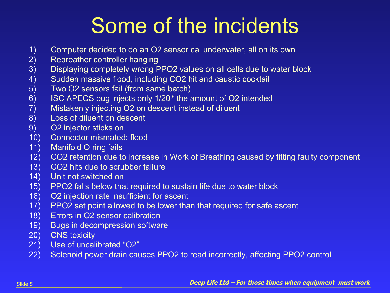# Some of the incidents

- 1) Computer decided to do an O2 sensor cal underwater, all on its own
- 2) Rebreather controller hanging
- 3) Displaying completely wrong PPO2 values on all cells due to water block
- 4) Sudden massive flood, including CO2 hit and caustic cocktail
- 5) Two O2 sensors fail (from same batch)
- 6) ISC APECS bug injects only 1/20<sup>th</sup> the amount of O2 intended
- 7) Mistakenly injecting O2 on descent instead of diluent
- 8) Loss of diluent on descent
- 9) O2 injector sticks on
- 10) Connector mismated: flood
- 11) Manifold O ring fails
- 12) CO2 retention due to increase in Work of Breathing caused by fitting faulty component
- 13) CO2 hits due to scrubber failure
- 14) Unit not switched on
- 15) PPO2 falls below that required to sustain life due to water block
- 16) O2 injection rate insufficient for ascent
- 17) PPO2 set point allowed to be lower than that required for safe ascent
- 18) Errors in O2 sensor calibration
- 19) Bugs in decompression software
- 20) CNS toxicity
- 21) Use of uncalibrated "O2"
- 22) Solenoid power drain causes PPO2 to read incorrectly, affecting PPO2 control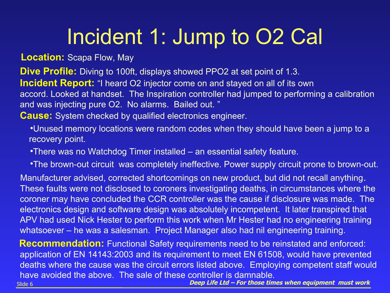# Incident 1: Jump to O2 Cal

**Location:** Scapa Flow, May

**Dive Profile:** Diving to 100ft, displays showed PPO2 at set point of 1.3.

**Incident Report:** "I heard O2 injector come on and stayed on all of its own

accord. Looked at handset. The Inspiration controller had jumped to performing a calibration and was injecting pure O2. No alarms. Bailed out. "

**Cause:** System checked by qualified electronics engineer.

Unused memory locations were random codes when they should have been a jump to a recovery point.

There was no Watchdog Timer installed – an essential safety feature.

The brown-out circuit was completely ineffective. Power supply circuit prone to brown-out.

 Manufacturer advised, corrected shortcomings on new product, but did not recall anything. These faults were not disclosed to coroners investigating deaths, in circumstances where the coroner may have concluded the CCR controller was the cause if disclosure was made. The electronics design and software design was absolutely incompetent. It later transpired that APV had used Nick Hester to perform this work when Mr Hester had no engineering training whatsoever – he was a salesman. Project Manager also had nil engineering training.

**Recommendation:** Functional Safety requirements need to be reinstated and enforced: application of EN 14143:2003 and its requirement to meet EN 61508, would have prevented deaths where the cause was the circuit errors listed above. Employing competent staff would have avoided the above. The sale of these controller is damnable.

Slide 6 **Deep Life Ltd – For those times when equipment must work**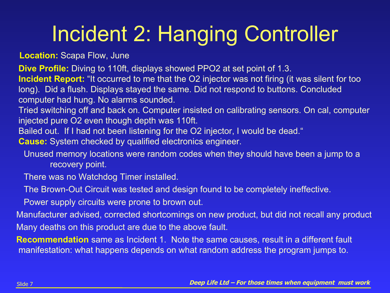# Incident 2: Hanging Controller

**Location:** Scapa Flow, June

**Dive Profile:** Diving to 110ft, displays showed PPO2 at set point of 1.3.

**Incident Report:** "It occurred to me that the O2 injector was not firing (it was silent for too long). Did a flush. Displays stayed the same. Did not respond to buttons. Concluded computer had hung. No alarms sounded.

Tried switching off and back on. Computer insisted on calibrating sensors. On cal, computer injected pure O2 even though depth was 110ft.

Bailed out. If I had not been listening for the O2 injector, I would be dead."

**Cause:** System checked by qualified electronics engineer.

Unused memory locations were random codes when they should have been a jump to a recovery point.

There was no Watchdog Timer installed.

The Brown-Out Circuit was tested and design found to be completely ineffective.

Power supply circuits were prone to brown out.

 Manufacturer advised, corrected shortcomings on new product, but did not recall any product Many deaths on this product are due to the above fault.

 **Recommendation** same as Incident 1. Note the same causes, result in a different fault manifestation: what happens depends on what random address the program jumps to.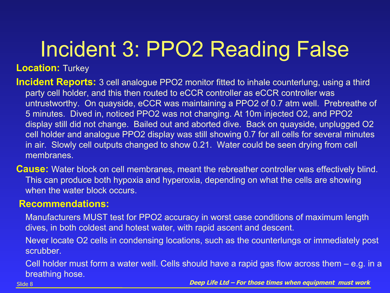# Incident 3: PPO2 Reading False

**Location:** Turkey

- **Incident Reports:** 3 cell analogue PPO2 monitor fitted to inhale counterlung, using a third party cell holder, and this then routed to eCCR controller as eCCR controller was untrustworthy. On quayside, eCCR was maintaining a PPO2 of 0.7 atm well. Prebreathe of 5 minutes. Dived in, noticed PPO2 was not changing. At 10m injected O2, and PPO2 display still did not change. Bailed out and aborted dive. Back on quayside, unplugged O2 cell holder and analogue PPO2 display was still showing 0.7 for all cells for several minutes in air. Slowly cell outputs changed to show 0.21. Water could be seen drying from cell membranes.
- **Cause:** Water block on cell membranes, meant the rebreather controller was effectively blind. This can produce both hypoxia and hyperoxia, depending on what the cells are showing when the water block occurs.

### **Recommendations:**

- Manufacturers MUST test for PPO2 accuracy in worst case conditions of maximum length dives, in both coldest and hotest water, with rapid ascent and descent.
- Never locate O2 cells in condensing locations, such as the counterlungs or immediately post scrubber.
- Cell holder must form a water well. Cells should have a rapid gas flow across them e.g. in a breathing hose.

Slide 8 **Deep Life Ltd – For those times when equipment must work**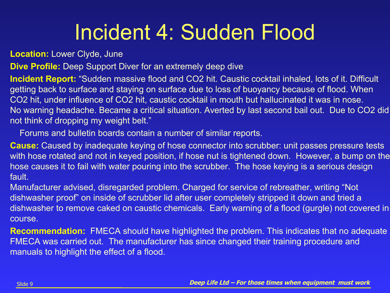# Incident 4: Sudden Flood

**Location:** Lower Clyde, June

**Dive Profile:** Deep Support Diver for an extremely deep dive

**Incident Report:** "Sudden massive flood and CO2 hit. Caustic cocktail inhaled, lots of it. Difficult getting back to surface and staying on surface due to loss of buoyancy because of flood. When CO2 hit, under influence of CO2 hit, caustic cocktail in mouth but hallucinated it was in nose. No warning headache. Became a critical situation. Averted by last second bail out. Due to CO2 did not think of dropping my weight belt."

Forums and bulletin boards contain a number of similar reports.

**Cause:** Caused by inadequate keying of hose connector into scrubber: unit passes pressure tests with hose rotated and not in keyed position, if hose nut is tightened down. However, a bump on the hose causes it to fail with water pouring into the scrubber. The hose keying is a serious design fault.

Manufacturer advised, disregarded problem. Charged for service of rebreather, writing "Not dishwasher proof" on inside of scrubber lid after user completely stripped it down and tried a dishwasher to remove caked on caustic chemicals. Early warning of a flood (gurgle) not covered in course.

**Recommendation:** FMECA should have highlighted the problem. This indicates that no adequate FMECA was carried out. The manufacturer has since changed their training procedure and manuals to highlight the effect of a flood.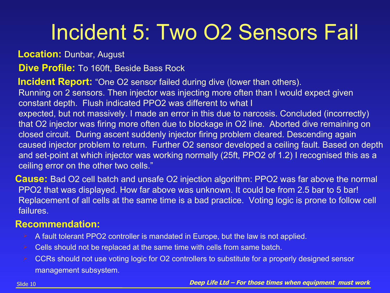# Incident 5: Two O2 Sensors Fail

**Location:** Dunbar, August

**Dive Profile:** To 160ft, Beside Bass Rock

 **Incident Report:** "One O2 sensor failed during dive (lower than others). Running on 2 sensors. Then injector was injecting more often than I would expect given constant depth. Flush indicated PPO2 was different to what I expected, but not massively. I made an error in this due to narcosis. Concluded (incorrectly) that O2 injector was firing more often due to blockage in O2 line. Aborted dive remaining on closed circuit. During ascent suddenly injector firing problem cleared. Descending again caused injector problem to return. Further O2 sensor developed a ceiling fault. Based on depth and set-point at which injector was working normally (25ft, PPO2 of 1.2) I recognised this as a ceiling error on the other two cells."

 **Cause:** Bad O2 cell batch and unsafe O2 injection algorithm: PPO2 was far above the normal PPO2 that was displayed. How far above was unknown. It could be from 2.5 bar to 5 bar! Replacement of all cells at the same time is a bad practice. Voting logic is prone to follow cell failures.

### **Recommendation:**

- A fault tolerant PPO2 controller is mandated in Europe, but the law is not applied.
- Cells should not be replaced at the same time with cells from same batch.
- CCRs should not use voting logic for O2 controllers to substitute for a properly designed sensor management subsystem.

Slide 10 **Deep Life Ltd – For those times when equipment must work**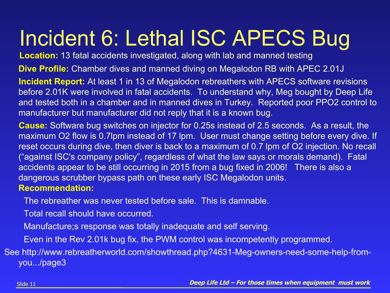# Incident 6: Lethal ISC APECS Bug

**Location:** 13 fatal accidents investigated, along with lab and manned testing

**Dive Profile:** Chamber dives and manned diving on Megalodon RB with APEC 2.01J

**Incident Report:** At least 1 in 13 of Megalodon rebreathers with APECS software revisions before 2.01K were involved in fatal accidents. To understand why, Meg bought by Deep Life and tested both in a chamber and in manned dives in Turkey. Reported poor PPO2 control to manufacturer but manufacturer did not reply that it is a known bug.

 **Cause:** Software bug switches on injector for 0.25s instead of 2.5 seconds. As a result, the maximum O2 flow is 0.7lpm instead of 17 lpm. User must change setting before every dive. If reset occurs during dive, then diver is back to a maximum of 0.7 lpm of O2 injection. No recall ("against ISC's company policy", regardless of what the law says or morals demand). Fatal accidents appear to be still occurring in 2015 from a bug fixed in 2006! There is also a dangerous scrubber bypass path on these early ISC Megalodon units.

#### **Recommendation:**

The rebreather was never tested before sale. This is damnable.

Total recall should have occurred.

Manufacture;s response was totally inadequate and self serving.

Even in the Rev 2.01k bug fix, the PWM control was incompetently programmed.

See http://www.rebreatherworld.com/showthread.php?4631-Meg-owners-need-some-help-fromyou.../page3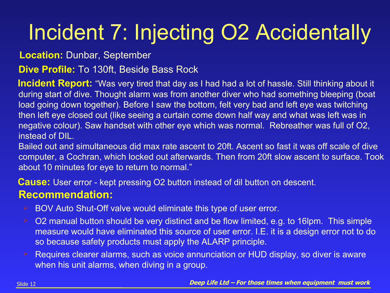# Incident 7: Injecting O2 Accidentally

**Location:** Dunbar, September

**Dive Profile:** To 130ft, Beside Bass Rock

 **Incident Report:** "Was very tired that day as I had had a lot of hassle. Still thinking about it during start of dive. Thought alarm was from another diver who had something bleeping (boat load going down together). Before I saw the bottom, felt very bad and left eye was twitching then left eye closed out (like seeing a curtain come down half way and what was left was in negative colour). Saw handset with other eye which was normal. Rebreather was full of O2, instead of DIL.

Bailed out and simultaneous did max rate ascent to 20ft. Ascent so fast it was off scale of dive computer, a Cochran, which locked out afterwards. Then from 20ft slow ascent to surface. Took about 10 minutes for eye to return to normal."

**Cause:** User error - kept pressing O2 button instead of dil button on descent.

- BOV Auto Shut-Off valve would eliminate this type of user error.
- O2 manual button should be very distinct and be flow limited, e.g. to 16lpm. This simple measure would have eliminated this source of user error. I.E. it is a design error not to do so because safety products must apply the ALARP principle.
- Requires clearer alarms, such as voice annunciation or HUD display, so diver is aware when his unit alarms, when diving in a group.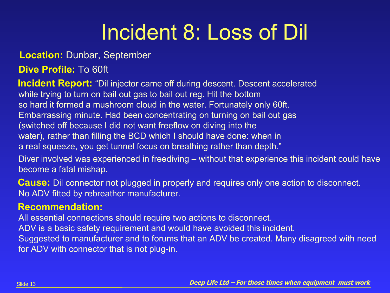# Incident 8: Loss of Dil

### **Location:** Dunbar, September

### **Dive Profile:** To 60ft

**Incident Report:** "Dil injector came off during descent. Descent accelerated while trying to turn on bail out gas to bail out reg. Hit the bottom so hard it formed a mushroom cloud in the water. Fortunately only 60ft. Embarrassing minute. Had been concentrating on turning on bail out gas (switched off because I did not want freeflow on diving into the water), rather than filling the BCD which I should have done: when in a real squeeze, you get tunnel focus on breathing rather than depth."

Diver involved was experienced in freediving – without that experience this incident could have become a fatal mishap.

 **Cause:** Dil connector not plugged in properly and requires only one action to disconnect. No ADV fitted by rebreather manufacturer.

### **Recommendation:**

All essential connections should require two actions to disconnect. ADV is a basic safety requirement and would have avoided this incident.

Suggested to manufacturer and to forums that an ADV be created. Many disagreed with need for ADV with connector that is not plug-in.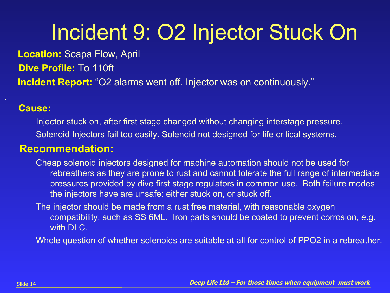# Incident 9: O2 Injector Stuck On

**Location:** Scapa Flow, April

**Dive Profile:** To 110ft

**Incident Report:** "O2 alarms went off. Injector was on continuously."

### **Cause:**

Injector stuck on, after first stage changed without changing interstage pressure. Solenoid Injectors fail too easily. Solenoid not designed for life critical systems.

### **Recommendation:**

Cheap solenoid injectors designed for machine automation should not be used for rebreathers as they are prone to rust and cannot tolerate the full range of intermediate pressures provided by dive first stage regulators in common use. Both failure modes the injectors have are unsafe: either stuck on, or stuck off.

The injector should be made from a rust free material, with reasonable oxygen compatibility, such as SS 6ML. Iron parts should be coated to prevent corrosion, e.g. with DLC.

Whole question of whether solenoids are suitable at all for control of PPO2 in a rebreather.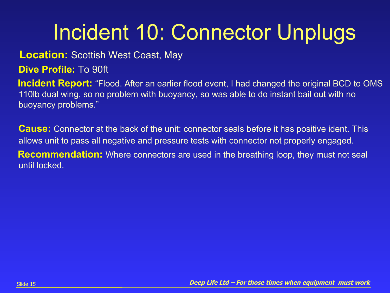# Incident 10: Connector Unplugs

### **Location:** Scottish West Coast, May

**Dive Profile:** To 90ft

**Incident Report:** "Flood. After an earlier flood event, I had changed the original BCD to OMS 110lb dual wing, so no problem with buoyancy, so was able to do instant bail out with no buoyancy problems."

**Cause:** Connector at the back of the unit: connector seals before it has positive ident. This allows unit to pass all negative and pressure tests with connector not properly engaged.

**Recommendation:** Where connectors are used in the breathing loop, they must not seal until locked.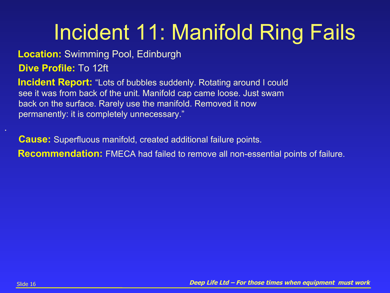# Incident 11: Manifold Ring Fails

**Location:** Swimming Pool, Edinburgh

**Dive Profile:** To 12ft

**Incident Report:** "Lots of bubbles suddenly. Rotating around I could see it was from back of the unit. Manifold cap came loose. Just swam back on the surface. Rarely use the manifold. Removed it now permanently: it is completely unnecessary."

**Cause:** Superfluous manifold, created additional failure points. **Recommendation:** FMECA had failed to remove all non-essential points of failure.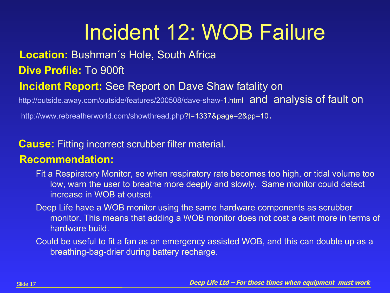# Incident 12: WOB Failure

### **Location:** Bushman´s Hole, South Africa

**Dive Profile:** To 900ft

### **Incident Report:** See Report on Dave Shaw fatality on

<http://outside.away.com/outside/features/200508/dave-shaw-1.html> and analysis of fault on

<http://www.rebreatherworld.com/showthread.php?t=1337&page=2&pp=10>.

### **Cause:** Fitting incorrect scrubber filter material.

- Fit a Respiratory Monitor, so when respiratory rate becomes too high, or tidal volume too low, warn the user to breathe more deeply and slowly. Same monitor could detect increase in WOB at outset.
- Deep Life have a WOB monitor using the same hardware components as scrubber monitor. This means that adding a WOB monitor does not cost a cent more in terms of hardware build.
- Could be useful to fit a fan as an emergency assisted WOB, and this can double up as a breathing-bag-drier during battery recharge.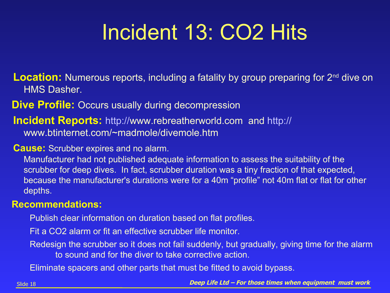# Incident 13: CO2 Hits

**Location:** Numerous reports, including a fatality by group preparing for 2<sup>nd</sup> dive on HMS Dasher.

**Dive Profile:** Occurs usually during decompression

 **Incident Reports:** [http://www.rebreatherworld.com](http://www.rebreatherworld.com/) and [http://](http://www.btinternet.com/~madmole/divemole.htm) [www.btinternet.com/~madmole/divemole.htm](http://www.btinternet.com/~madmole/divemole.htm)

#### **Cause:** Scrubber expires and no alarm.

Manufacturer had not published adequate information to assess the suitability of the scrubber for deep dives. In fact, scrubber duration was a tiny fraction of that expected, because the manufacturer's durations were for a 40m "profile" not 40m flat or flat for other depths.

#### **Recommendations:**

Publish clear information on duration based on flat profiles.

Fit a CO2 alarm or fit an effective scrubber life monitor.

Redesign the scrubber so it does not fail suddenly, but gradually, giving time for the alarm to sound and for the diver to take corrective action.

Eliminate spacers and other parts that must be fitted to avoid bypass.

Slide 18 **Deep Life Ltd – For those times when equipment must work**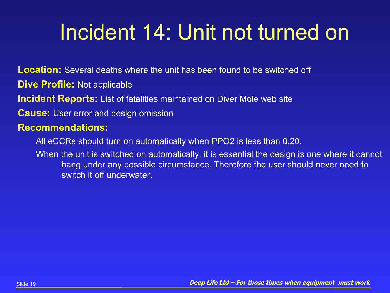# Incident 14: Unit not turned on

**Location:** Several deaths where the unit has been found to be switched off

**Dive Profile:** Not applicable

**Incident Reports:** List of fatalities maintained on Diver Mole web site

 **Cause:** User error and design omission

### **Recommendations:**

All eCCRs should turn on automatically when PPO2 is less than 0.20.

When the unit is switched on automatically, it is essential the design is one where it cannot hang under any possible circumstance. Therefore the user should never need to switch it off underwater.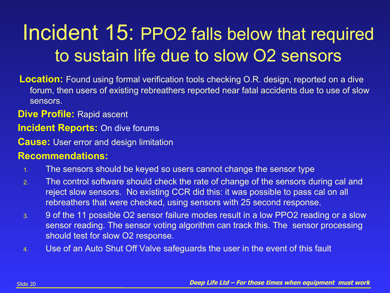### Incident 15: PPO2 falls below that required to sustain life due to slow O2 sensors

 **Location:** Found using formal verification tools checking O.R. design, reported on a dive forum, then users of existing rebreathers reported near fatal accidents due to use of slow sensors.

**Dive Profile:** Rapid ascent

**Incident Reports:** On dive forums

 **Cause:** User error and design limitation

- 1. The sensors should be keyed so users cannot change the sensor type
- 2. The control software should check the rate of change of the sensors during cal and reject slow sensors. No existing CCR did this: it was possible to pass cal on all rebreathers that were checked, using sensors with 25 second response.
- 3. 9 of the 11 possible O2 sensor failure modes result in a low PPO2 reading or a slow sensor reading. The sensor voting algorithm can track this. The sensor processing should test for slow O2 response.
- 4. Use of an Auto Shut Off Valve safeguards the user in the event of this fault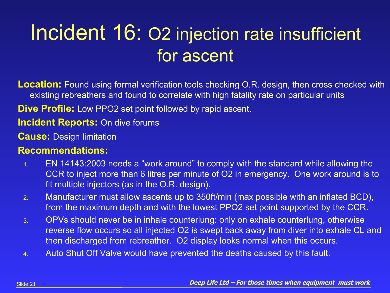### Incident 16: O2 injection rate insufficient for ascent

 **Location:** Found using formal verification tools checking O.R. design, then cross checked with existing rebreathers and found to correlate with high fatality rate on particular units

**Dive Profile:** Low PPO2 set point followed by rapid ascent.

### **Incident Reports:** On dive forums

 **Cause:** Design limitation

- 1. EN 14143:2003 needs a "work around" to comply with the standard while allowing the CCR to inject more than 6 litres per minute of O2 in emergency. One work around is to fit multiple injectors (as in the O.R. design).
- 2. Manufacturer must allow ascents up to 350ft/min (max possible with an inflated BCD), from the maximum depth and with the lowest PPO2 set point supported by the CCR.
- 3. OPVs should never be in inhale counterlung: only on exhale counterlung, otherwise reverse flow occurs so all injected O2 is swept back away from diver into exhale CL and then discharged from rebreather. O2 display looks normal when this occurs.
- 4. Auto Shut Off Valve would have prevented the deaths caused by this fault.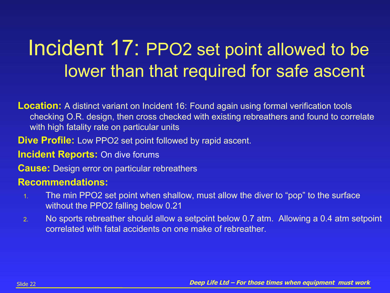### Incident 17: PPO2 set point allowed to be lower than that required for safe ascent

 **Location:** A distinct variant on Incident 16: Found again using formal verification tools checking O.R. design, then cross checked with existing rebreathers and found to correlate with high fatality rate on particular units

**Dive Profile:** Low PPO2 set point followed by rapid ascent.

**Incident Reports:** On dive forums

 **Cause:** Design error on particular rebreathers

- 1. The min PPO2 set point when shallow, must allow the diver to "pop" to the surface without the PPO2 falling below 0.21
- 2. No sports rebreather should allow a setpoint below 0.7 atm. Allowing a 0.4 atm setpoint correlated with fatal accidents on one make of rebreather.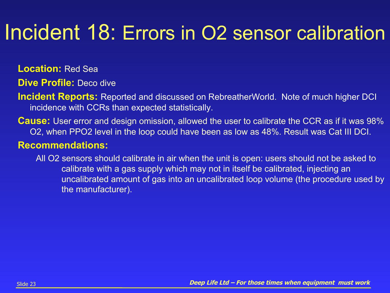## Incident 18: Errors in O2 sensor calibration

 **Location:** Red Sea

**Dive Profile:** Deco dive

- **Incident Reports:** Reported and discussed on RebreatherWorld. Note of much higher DCI incidence with CCRs than expected statistically.
- **Cause:** User error and design omission, allowed the user to calibrate the CCR as if it was 98% O2, when PPO2 level in the loop could have been as low as 48%. Result was Cat III DCI.

### **Recommendations:**

All O2 sensors should calibrate in air when the unit is open: users should not be asked to calibrate with a gas supply which may not in itself be calibrated, injecting an uncalibrated amount of gas into an uncalibrated loop volume (the procedure used by the manufacturer).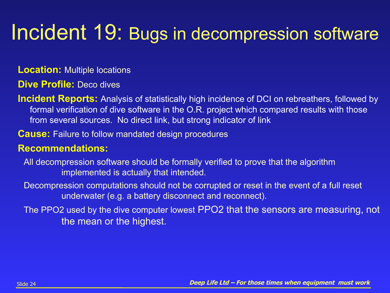### Incident 19: Bugs in decompression software

 **Location:** Multiple locations

**Dive Profile:** Deco dives

- **Incident Reports:** Analysis of statistically high incidence of DCI on rebreathers, followed by formal verification of dive software in the O.R. project which compared results with those from several sources. No direct link, but strong indicator of link
- **Cause:** Failure to follow mandated design procedures

- All decompression software should be formally verified to prove that the algorithm implemented is actually that intended.
- Decompression computations should not be corrupted or reset in the event of a full reset underwater (e.g. a battery disconnect and reconnect).
- The PPO2 used by the dive computer lowest PPO2 that the sensors are measuring, not the mean or the highest.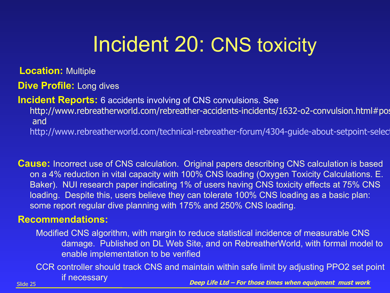## Incident 20: CNS toxicity

 **Location:** Multiple

**Dive Profile:** Long dives

**Incident Reports:** 6 accidents involving of CNS convulsions. See

http://www.rebreatherworld.com/rebreather-accidents-incidents/1632-o2-convulsion.html#pos and

http://www.rebreatherworld.com/technical-rebreather-forum/4304-guide-about-setpoint-selec

 **Cause:** Incorrect use of CNS calculation. Original papers describing CNS calculation is based on a 4% reduction in vital capacity with 100% CNS loading (Oxygen Toxicity Calculations. E. Baker). NUI research paper indicating 1% of users having CNS toxicity effects at 75% CNS loading. Despite this, users believe they can tolerate 100% CNS loading as a basic plan: some report regular dive planning with 175% and 250% CNS loading.

### **Recommendations:**

Modified CNS algorithm, with margin to reduce statistical incidence of measurable CNS damage. Published on DL Web Site, and on RebreatherWorld, with formal model to enable implementation to be verified

Slide 25 **Deep Life Ltd – For those times when equipment must work** CCR controller should track CNS and maintain within safe limit by adjusting PPO2 set point if necessary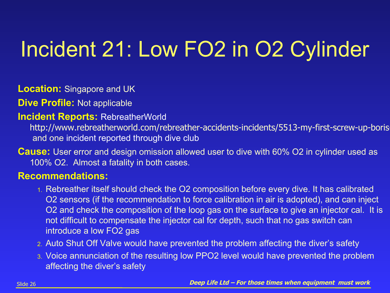# Incident 21: Low FO2 in O2 Cylinder

 **Location:** Singapore and UK

**Dive Profile:** Not applicable

**Incident Reports:** RebreatherWorld

http://www.rebreatherworld.com/rebreather-accidents-incidents/5513-my-first-screw-up-boris and one incident reported through dive club

 **Cause:** User error and design omission allowed user to dive with 60% O2 in cylinder used as 100% O2. Almost a fatality in both cases.

- 1. Rebreather itself should check the O2 composition before every dive. It has calibrated O2 sensors (if the recommendation to force calibration in air is adopted), and can inject O2 and check the composition of the loop gas on the surface to give an injector cal. It is not difficult to compensate the injector cal for depth, such that no gas switch can introduce a low FO2 gas
- 2. Auto Shut Off Valve would have prevented the problem affecting the diver's safety
- 3. Voice annunciation of the resulting low PPO2 level would have prevented the problem affecting the diver's safety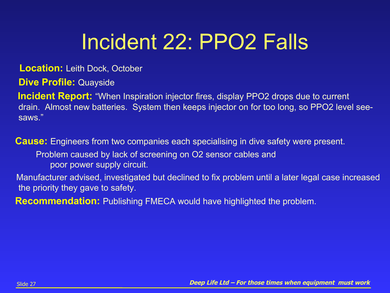# Incident 22: PPO2 Falls

#### **Location:** Leith Dock, October

**Dive Profile:** Quayside

**Incident Report:** "When Inspiration injector fires, display PPO2 drops due to current drain. Almost new batteries. System then keeps injector on for too long, so PPO2 level seesaws."

 **Cause:** Engineers from two companies each specialising in dive safety were present. Problem caused by lack of screening on O2 sensor cables and poor power supply circuit.

 Manufacturer advised, investigated but declined to fix problem until a later legal case increased the priority they gave to safety.

**Recommendation:** Publishing FMECA would have highlighted the problem.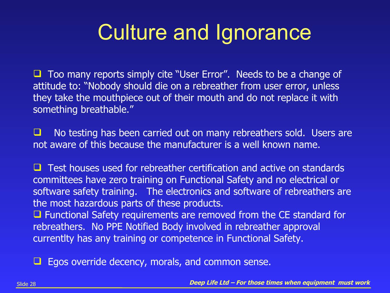## Culture and Ignorance

 $\Box$  Too many reports simply cite "User Error". Needs to be a change of attitude to: "Nobody should die on a rebreather from user error, unless they take the mouthpiece out of their mouth and do not replace it with something breathable."

 $\Box$  No testing has been carried out on many rebreathers sold. Users are not aware of this because the manufacturer is a well known name.

 $\Box$  Test houses used for rebreather certification and active on standards committees have zero training on Functional Safety and no electrical or software safety training. The electronics and software of rebreathers are the most hazardous parts of these products.

 $\Box$  Functional Safety requirements are removed from the CE standard for rebreathers. No PPE Notified Body involved in rebreather approval currentlty has any training or competence in Functional Safety.

 $\Box$  Egos override decency, morals, and common sense.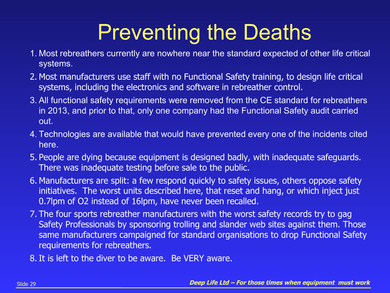# Preventing the Deaths

- 1. Most rebreathers currently are nowhere near the standard expected of other life critical systems.
- 2. Most manufacturers use staff with no Functional Safety training, to design life critical systems, including the electronics and software in rebreather control.
- 3. All functional safety requirements were removed from the CE standard for rebreathers in 2013, and prior to that, only one company had the Functional Safety audit carried out.
- 4. Technologies are available that would have prevented every one of the incidents cited here.
- 5. People are dying because equipment is designed badly, with inadequate safeguards. There was inadequate testing before sale to the public.
- 6. Manufacturers are split: a few respond quickly to safety issues, others oppose safety initiatives. The worst units described here, that reset and hang, or which inject just 0.7lpm of O2 instead of 16lpm, have never been recalled.
- 7. The four sports rebreather manufacturers with the worst safety records try to gag Safety Professionals by sponsoring trolling and slander web sites against them. Those same manufacturers campaigned for standard organisations to drop Functional Safety requirements for rebreathers.
- 8. It is left to the diver to be aware. Be VERY aware.